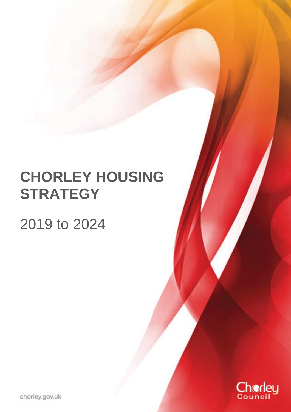# **CHORLEY HOUSING STRATEGY**

## 2019 to 2024



chorley.gov.uk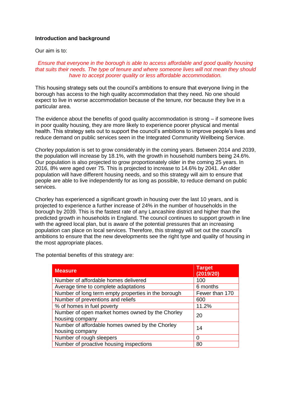#### **Introduction and background**

Our aim is to:

#### *Ensure that everyone in the borough is able to access affordable and good quality housing that suits their needs. The type of tenure and where someone lives will not mean they should have to accept poorer quality or less affordable accommodation.*

This housing strategy sets out the council's ambitions to ensure that everyone living in the borough has access to the high quality accommodation that they need. No one should expect to live in worse accommodation because of the tenure, nor because they live in a particular area.

The evidence about the benefits of good quality accommodation is strong – if someone lives in poor quality housing, they are more likely to experience poorer physical and mental health. This strategy sets out to support the council's ambitions to improve people's lives and reduce demand on public services seen in the Integrated Community Wellbeing Service.

Chorley population is set to grow considerably in the coming years. Between 2014 and 2039, the population will increase by 18.1%, with the growth in household numbers being 24.6%. Our population is also projected to grow proportionately older in the coming 25 years. In 2016, 8% were aged over 75. This is projected to increase to 14.6% by 2041. An older population will have different housing needs, and so this strategy will aim to ensure that people are able to live independently for as long as possible, to reduce demand on public services.

Chorley has experienced a significant growth in housing over the last 10 years, and is projected to experience a further increase of 24% in the number of households in the borough by 2039. This is the fastest rate of any Lancashire district and higher than the predicted growth in households in England. The council continues to support growth in line with the agreed local plan, but is aware of the potential pressures that an increasing population can place on local services. Therefore, this strategy will set out the council's ambitions to ensure that the new developments see the right type and quality of housing in the most appropriate places.

| <b>Measure</b>                                                           | <b>Target</b><br>(2019/20) |
|--------------------------------------------------------------------------|----------------------------|
| Number of affordable homes delivered                                     | 100                        |
| Average time to complete adaptations                                     | 6 months                   |
| Number of long term empty properties in the borough                      | Fewer than 170             |
| Number of preventions and reliefs                                        | 600                        |
| % of homes in fuel poverty                                               | 11.2%                      |
| Number of open market homes owned by the Chorley<br>housing company      | 20                         |
| Number of affordable homes owned by the Chorley<br>14<br>housing company |                            |
| Number of rough sleepers                                                 | 0                          |
| Number of proactive housing inspections                                  | 80                         |

The potential benefits of this strategy are: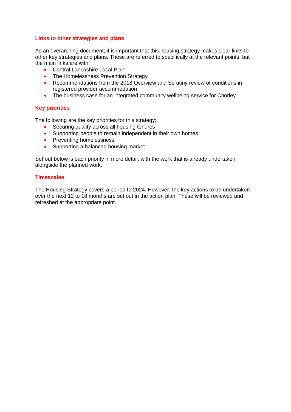#### **Links to other strategies and plans**

As an overarching document, it is important that this housing strategy makes clear links to other key strategies and plans. These are referred to specifically at the relevant points, but the main links are with:

- Central Lancashire Local Plan
- The Homelessness Prevention Strategy
- Recommendations from the 2018 Overview and Scrutiny review of conditions in registered provider accommodation
- The business case for an integrated community wellbeing service for Chorley

#### **Key priorities**

The following are the key priorities for this strategy:

- Securing quality across all housing tenures
- Supporting people to remain independent in their own homes
- Preventing homelessness
- Supporting a balanced housing market

Set out below is each priority in more detail, with the work that is already undertaken alongside the planned work.

#### **Timescales**

The Housing Strategy covers a period to 2024. However, the key actions to be undertaken over the next 12 to 18 months are set out in the action plan. These will be reviewed and refreshed at the appropriate point.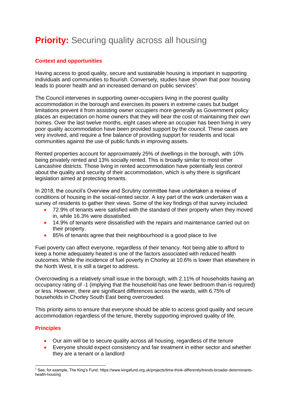### **Priority:** Securing quality across all housing

#### **Context and opportunities**

Having access to good quality, secure and sustainable housing is important in supporting individuals and communities to flourish. Conversely, studies have shown that poor housing leads to poorer health and an increased demand on public services<sup>1</sup>.

The Council intervenes in supporting owner-occupiers living in the poorest quality accommodation in the borough and exercises its powers in extreme cases but budget limitations prevent it from assisting owner occupiers more generally as Government policy places an expectation on home owners that they will bear the cost of maintaining their own homes. Over the last twelve months, eight cases where an occupier has been living in very poor quality accommodation have been provided support by the council. These cases are very involved, and require a fine balance of providing support for residents and local communities against the use of public funds in improving assets.

Rented properties account for approximately 25% of dwellings in the borough, with 10% being privately rented and 13% socially rented. This is broadly similar to most other Lancashire districts. Those living in rented accommodation have potentially less control about the quality and security of their accommodation, which is why there is significant legislation aimed at protecting tenants.

In 2018, the council's Overview and Scrutiny committee have undertaken a review of conditions of housing in the social-rented sector. A key part of the work undertaken was a survey of residents to gather their views. Some of the key findings of that survey included:

- 72.9% of tenants were satisfied with the standard of their property when they moved in, while 16.3% were dissatisfied.
- 14.9% of tenants were dissatisfied with the repairs and maintenance carried out on their property.
- 85% of tenants agree that their neighbourhood is a good place to live

Fuel poverty can affect everyone, regardless of their tenancy. Not being able to afford to keep a home adequately heated is one of the factors associated with reduced health outcomes. While the incidence of fuel poverty in Chorley at 10.6% is lower than elsewhere in the North West, it is still a target to address.

Overcrowding is a relatively small issue in the borough, with 2.11% of households having an occupancy rating of -1 (implying that the household has one fewer bedroom than is required) or less. However, there are significant differences across the wards, with 6.75% of households in Chorley South East being overcrowded.

This priority aims to ensure that everyone should be able to access good quality and secure accommodation regardless of the tenure, thereby supporting improved quality of life.

#### **Principles**

- Our aim will be to secure quality across all housing, regardless of the tenure
- Everyone should expect consistency and fair treatment in either sector and whether they are a tenant or a landlord

<sup>-</sup><sup>1</sup> See, for example, The King's Fund, https://www.kingsfund.org.uk/projects/time-think-differently/trends-broader-determinantshealth-housing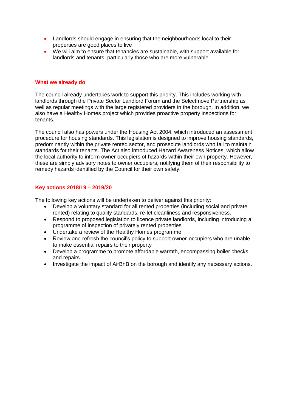- Landlords should engage in ensuring that the neighbourhoods local to their properties are good places to live
- We will aim to ensure that tenancies are sustainable, with support available for landlords and tenants, particularly those who are more vulnerable.

#### **What we already do**

The council already undertakes work to support this priority. This includes working with landlords through the Private Sector Landlord Forum and the Selectmove Partnership as well as regular meetings with the large registered providers in the borough. In addition, we also have a Healthy Homes project which provides proactive property inspections for tenants.

The council also has powers under the Housing Act 2004, which introduced an assessment procedure for housing standards. This legislation is designed to improve housing standards, predominantly within the private rented sector, and prosecute landlords who fail to maintain standards for their tenants. The Act also introduced Hazard Awareness Notices, which allow the local authority to inform owner occupiers of hazards within their own property. However, these are simply advisory notes to owner occupiers, notifying them of their responsibility to remedy hazards identified by the Council for their own safety.

#### **Key actions 2018/19 – 2019/20**

The following key actions will be undertaken to deliver against this priority:

- Develop a voluntary standard for all rented properties (including social and private rented) relating to quality standards, re-let cleanliness and responsiveness.
- Respond to proposed legislation to licence private landlords, including introducing a programme of inspection of privately rented properties
- Undertake a review of the Healthy Homes programme
- Review and refresh the council's policy to support owner-occupiers who are unable to make essential repairs to their property
- Develop a programme to promote affordable warmth, encompassing boiler checks and repairs.
- Investigate the impact of AirBnB on the borough and identify any necessary actions.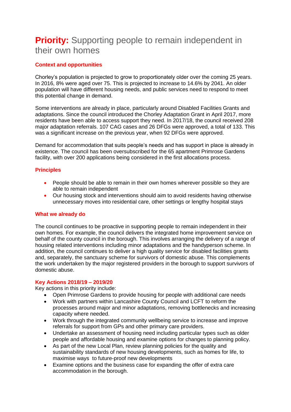### **Priority:** Supporting people to remain independent in their own homes

#### **Context and opportunities**

Chorley's population is projected to grow to proportionately older over the coming 25 years. In 2016, 8% were aged over 75. This is projected to increase to 14.6% by 2041. An older population will have different housing needs, and public services need to respond to meet this potential change in demand.

Some interventions are already in place, particularly around Disabled Facilities Grants and adaptations. Since the council introduced the Chorley Adaptation Grant in April 2017, more residents have been able to access support they need. In 2017/18, the council received 208 major adaptation referrals. 107 CAG cases and 26 DFGs were approved, a total of 133. This was a significant increase on the previous year, when 92 DFGs were approved.

Demand for accommodation that suits people's needs and has support in place is already in existence. The council has been oversubscribed for the 65 apartment Primrose Gardens facility, with over 200 applications being considered in the first allocations process.

#### **Principles**

- People should be able to remain in their own homes wherever possible so they are able to remain independent
- Our housing stock and interventions should aim to avoid residents having otherwise unnecessary moves into residential care, other settings or lengthy hospital stays

#### **What we already do**

The council continues to be proactive in supporting people to remain independent in their own homes. For example, the council delivers the integrated home improvement service on behalf of the county council in the borough. This involves arranging the delivery of a range of housing related interventions including minor adaptations and the handyperson scheme. In addition, the council continues to deliver a high quality service for disabled facilities grants and, separately, the sanctuary scheme for survivors of domestic abuse. This complements the work undertaken by the major registered providers in the borough to support survivors of domestic abuse.

#### **Key Actions 2018/19 – 2019/20**

Key actions in this priority include:

- Open Primrose Gardens to provide housing for people with additional care needs
- Work with partners within Lancashire County Council and LCFT to reform the processes around major and minor adaptations, removing bottlenecks and increasing capacity where needed.
- Work through the integrated community wellbeing service to increase and improve referrals for support from GPs and other primary care providers.
- Undertake an assessment of housing need including particular types such as older people and affordable housing and examine options for changes to planning policy.
- As part of the new Local Plan, review planning policies for the quality and sustainability standards of new housing developments, such as homes for life, to maximise ways to future-proof new developments
- Examine options and the business case for expanding the offer of extra care accommodation in the borough.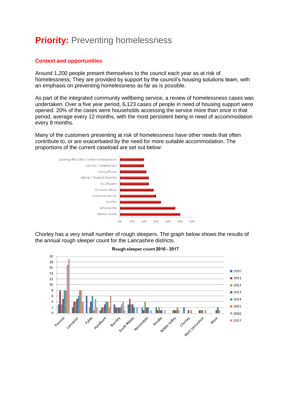### **Priority: Preventing homelessness**

#### **Context and opportunities**

Around 1,200 people present themselves to the council each year as at risk of homelessness. They are provided by support by the council's housing solutions team, with an emphasis on preventing homelessness as far as is possible.

As part of the integrated community wellbeing service, a review of homelessness cases was undertaken. Over a five year period, 6,123 cases of people in need of housing support were opened. 20% of the cases were households accessing the service more than once in that period, average every 12 months, with the most persistent being in need of accommodation every 8 months.

Many of the customers presenting at risk of homelessness have other needs that often contribute to, or are exacerbated by the need for more suitable accommodation. The proportions of the current caseload are set out below:



Chorley has a very small number of rough sleepers. The graph below shows the results of the annual rough sleeper count for the Lancashire districts.



#### Rough sleeper count 2010 - 2017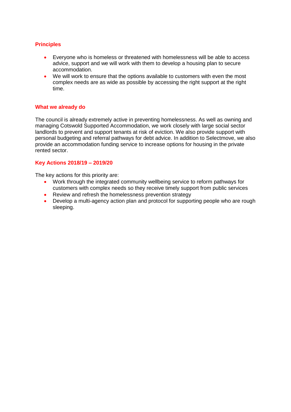#### **Principles**

- Everyone who is homeless or threatened with homelessness will be able to access advice, support and we will work with them to develop a housing plan to secure accommodation.
- We will work to ensure that the options available to customers with even the most complex needs are as wide as possible by accessing the right support at the right time.

#### **What we already do**

The council is already extremely active in preventing homelessness. As well as owning and managing Cotswold Supported Accommodation, we work closely with large social sector landlords to prevent and support tenants at risk of eviction. We also provide support with personal budgeting and referral pathways for debt advice. In addition to Selectmove, we also provide an accommodation funding service to increase options for housing in the private rented sector.

#### **Key Actions 2018/19 – 2019/20**

The key actions for this priority are:

- Work through the integrated community wellbeing service to reform pathways for customers with complex needs so they receive timely support from public services
- Review and refresh the homelessness prevention strategy
- Develop a multi-agency action plan and protocol for supporting people who are rough sleeping.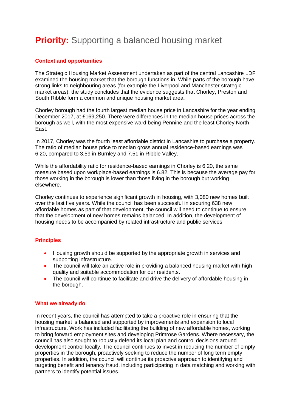### **Priority:** Supporting a balanced housing market

#### **Context and opportunities**

The Strategic Housing Market Assessment undertaken as part of the central Lancashire LDF examined the housing market that the borough functions in. While parts of the borough have strong links to neighbouring areas (for example the Liverpool and Manchester strategic market areas), the study concludes that the evidence suggests that Chorley, Preston and South Ribble form a common and unique housing market area.

Chorley borough had the fourth largest median house price in Lancashire for the year ending December 2017, at £169,250. There were differences in the median house prices across the borough as well, with the most expensive ward being Pennine and the least Chorley North East.

In 2017, Chorley was the fourth least affordable district in Lancashire to purchase a property. The ratio of median house price to median gross annual residence-based earnings was 6.20, compared to 3.59 in Burnley and 7.51 in Ribble Valley.

While the affordability ratio for residence-based earnings in Chorley is 6.20, the same measure based upon workplace-based earnings is 6.82. This is because the average pay for those working in the borough is lower than those living in the borough but working elsewhere.

Chorley continues to experience significant growth in housing, with 3,080 new homes built over the last five years. While the council has been successful in securing 638 new affordable homes as part of that development, the council will need to continue to ensure that the development of new homes remains balanced. In addition, the development of housing needs to be accompanied by related infrastructure and public services.

#### **Principles**

- Housing growth should be supported by the appropriate growth in services and supporting infrastructure.
- The council will take an active role in providing a balanced housing market with high quality and suitable accommodation for our residents.
- The council will continue to facilitate and drive the delivery of affordable housing in the borough.

#### **What we already do**

In recent years, the council has attempted to take a proactive role in ensuring that the housing market is balanced and supported by improvements and expansion to local infrastructure. Work has included facilitating the building of new affordable homes, working to bring forward employment sites and developing Primrose Gardens. Where necessary, the council has also sought to robustly defend its local plan and control decisions around development control locally. The council continues to invest in reducing the number of empty properties in the borough, proactively seeking to reduce the number of long term empty properties. In addition, the council will continue its proactive approach to identifying and targeting benefit and tenancy fraud, including participating in data matching and working with partners to identify potential issues.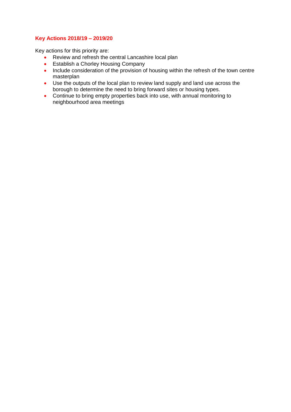#### **Key Actions 2018/19 – 2019/20**

Key actions for this priority are:

- Review and refresh the central Lancashire local plan
- **•** Establish a Chorley Housing Company
- Include consideration of the provision of housing within the refresh of the town centre masterplan
- Use the outputs of the local plan to review land supply and land use across the borough to determine the need to bring forward sites or housing types.
- Continue to bring empty properties back into use, with annual monitoring to neighbourhood area meetings